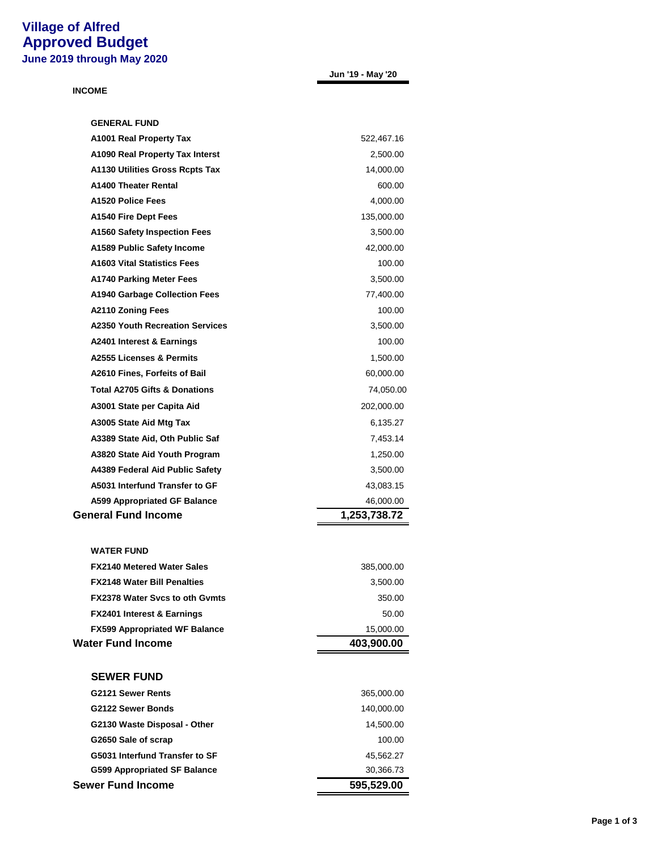## **Village of Alfred Approved Budget June 2019 through May 2020**

**Jun '19 - May '20**

## **INCOME**

| <b>GENERAL FUND</b>                      |              |
|------------------------------------------|--------------|
| A1001 Real Property Tax                  | 522,467.16   |
| A1090 Real Property Tax Interst          | 2,500.00     |
| <b>A1130 Utilities Gross Rcpts Tax</b>   | 14,000.00    |
| A1400 Theater Rental                     | 600.00       |
| A1520 Police Fees                        | 4,000.00     |
| A1540 Fire Dept Fees                     | 135,000.00   |
| <b>A1560 Safety Inspection Fees</b>      | 3,500.00     |
| A1589 Public Safety Income               | 42,000.00    |
| <b>A1603 Vital Statistics Fees</b>       | 100.00       |
| <b>A1740 Parking Meter Fees</b>          | 3,500.00     |
| <b>A1940 Garbage Collection Fees</b>     | 77,400.00    |
| <b>A2110 Zoning Fees</b>                 | 100.00       |
| <b>A2350 Youth Recreation Services</b>   | 3,500.00     |
| A2401 Interest & Earnings                | 100.00       |
| <b>A2555 Licenses &amp; Permits</b>      | 1,500.00     |
| A2610 Fines, Forfeits of Bail            | 60,000.00    |
| <b>Total A2705 Gifts &amp; Donations</b> | 74,050.00    |
| A3001 State per Capita Aid               | 202,000.00   |
| A3005 State Aid Mtg Tax                  | 6,135.27     |
| A3389 State Aid, Oth Public Saf          | 7,453.14     |
| A3820 State Aid Youth Program            | 1,250.00     |
| A4389 Federal Aid Public Safety          | 3,500.00     |
| A5031 Interfund Transfer to GF           | 43,083.15    |
| A599 Appropriated GF Balance             | 46,000.00    |
| <b>General Fund Income</b>               | 1,253,738.72 |
| <b>WATER FUND</b>                        |              |
| <b>FX2140 Metered Water Sales</b>        | 385,000.00   |
| <b>FX2148 Water Bill Penalties</b>       | 3,500.00     |
| FX2378 Water Svcs to oth Gvmts           | 350.00       |
| <b>FX2401 Interest &amp; Earnings</b>    | 50.00        |
| <b>FX599 Appropriated WF Balance</b>     | 15,000.00    |
| <b>Water Fund Income</b>                 | 403,900.00   |
| <b>SEWER FUND</b>                        |              |
| G2121 Sewer Rents                        | 365,000.00   |
| G2122 Sewer Bonds                        | 140,000.00   |
| G2130 Waste Disposal - Other             | 14,500.00    |
| G2650 Sale of scrap                      | 100.00       |
| G5031 Interfund Transfer to SF           | 45,562.27    |
| G599 Appropriated SF Balance             | 30,366.73    |
| <b>Sewer Fund Income</b>                 | 595,529.00   |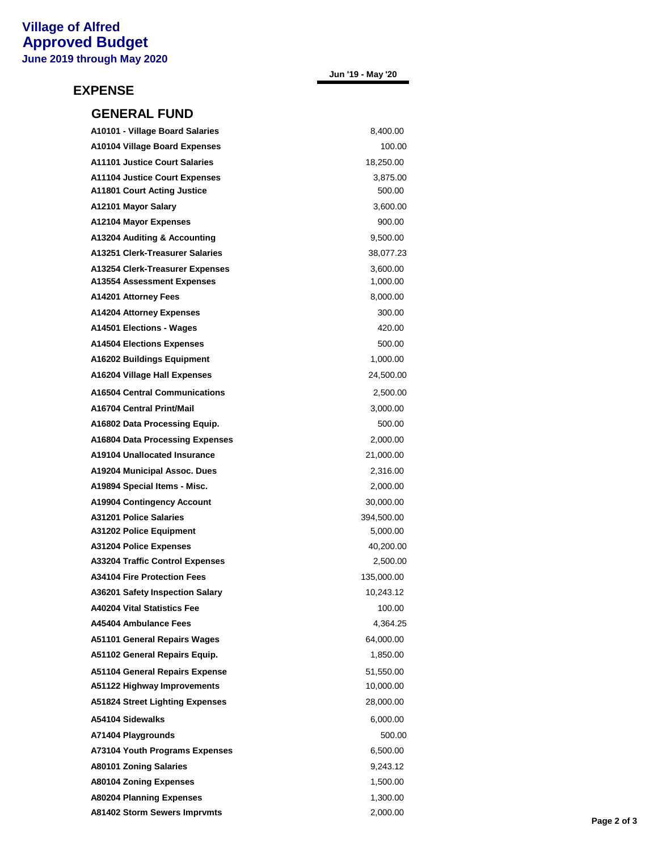## **EXPENSE**

| <b>GENERAL FUND</b> |  |
|---------------------|--|
|---------------------|--|

| A10101 - Village Board Salaries        | 8,400.00   |
|----------------------------------------|------------|
| A10104 Village Board Expenses          | 100.00     |
| <b>A11101 Justice Court Salaries</b>   | 18,250.00  |
| <b>A11104 Justice Court Expenses</b>   | 3,875.00   |
| <b>A11801 Court Acting Justice</b>     | 500.00     |
| A12101 Mayor Salary                    | 3,600.00   |
| A12104 Mayor Expenses                  | 900.00     |
| A13204 Auditing & Accounting           | 9,500.00   |
| <b>A13251 Clerk-Treasurer Salaries</b> | 38,077.23  |
| <b>A13254 Clerk-Treasurer Expenses</b> | 3,600.00   |
| <b>A13554 Assessment Expenses</b>      | 1,000.00   |
| A14201 Attorney Fees                   | 8,000.00   |
| <b>A14204 Attorney Expenses</b>        | 300.00     |
| A14501 Elections - Wages               | 420.00     |
| <b>A14504 Elections Expenses</b>       | 500.00     |
| <b>A16202 Buildings Equipment</b>      | 1,000.00   |
| A16204 Village Hall Expenses           | 24,500.00  |
| <b>A16504 Central Communications</b>   | 2,500.00   |
| A16704 Central Print/Mail              | 3,000.00   |
| A16802 Data Processing Equip.          | 500.00     |
| A16804 Data Processing Expenses        | 2,000.00   |
| <b>A19104 Unallocated Insurance</b>    | 21,000.00  |
| A19204 Municipal Assoc. Dues           | 2,316.00   |
| A19894 Special Items - Misc.           | 2,000.00   |
| <b>A19904 Contingency Account</b>      | 30,000.00  |
| <b>A31201 Police Salaries</b>          | 394,500.00 |
| <b>A31202 Police Equipment</b>         | 5,000.00   |
| <b>A31204 Police Expenses</b>          | 40,200.00  |
| <b>A33204 Traffic Control Expenses</b> | 2,500.00   |
| <b>A34104 Fire Protection Fees</b>     | 135,000.00 |
| <b>A36201 Safety Inspection Salary</b> | 10,243.12  |
| <b>A40204 Vital Statistics Fee</b>     | 100.00     |
| A45404 Ambulance Fees                  | 4,364.25   |
| <b>A51101 General Repairs Wages</b>    | 64,000.00  |
| A51102 General Repairs Equip.          | 1,850.00   |
| A51104 General Repairs Expense         | 51,550.00  |
| A51122 Highway Improvements            | 10,000.00  |
| <b>A51824 Street Lighting Expenses</b> | 28,000.00  |
| A54104 Sidewalks                       | 6,000.00   |
| A71404 Playgrounds                     | 500.00     |
| A73104 Youth Programs Expenses         | 6,500.00   |
| <b>A80101 Zoning Salaries</b>          | 9,243.12   |
| <b>A80104 Zoning Expenses</b>          | 1,500.00   |
| <b>A80204 Planning Expenses</b>        | 1,300.00   |
| <b>A81402 Storm Sewers Imprvmts</b>    | 2,000.00   |